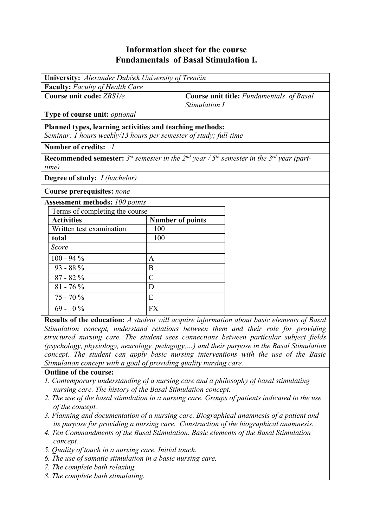## **Information sheet for the course Fundamentals of Basal Stimulation I.**

| University: Alexander Dubček University of Trenčín                                                                            |                         |                                                                                                                                       |  |  |
|-------------------------------------------------------------------------------------------------------------------------------|-------------------------|---------------------------------------------------------------------------------------------------------------------------------------|--|--|
| Faculty: Faculty of Health Care                                                                                               |                         |                                                                                                                                       |  |  |
| Course unit code: ZBS1/e                                                                                                      |                         | <b>Course unit title:</b> Fundamentals of Basal<br>Stimulation I.                                                                     |  |  |
| Type of course unit: optional                                                                                                 |                         |                                                                                                                                       |  |  |
| Planned types, learning activities and teaching methods:<br>Seminar: 1 hours weekly/13 hours per semester of study; full-time |                         |                                                                                                                                       |  |  |
| Number of credits: 1                                                                                                          |                         |                                                                                                                                       |  |  |
| time)                                                                                                                         |                         | <b>Recommended semester:</b> 3 <sup>st</sup> semester in the 2 <sup>nd</sup> year / $5th$ semester in the 3 <sup>rd</sup> year (part- |  |  |
| <b>Degree of study:</b> <i>I (bachelor)</i>                                                                                   |                         |                                                                                                                                       |  |  |
| Course prerequisites: none                                                                                                    |                         |                                                                                                                                       |  |  |
| <b>Assessment methods: 100 points</b>                                                                                         |                         |                                                                                                                                       |  |  |
| Terms of completing the course                                                                                                |                         |                                                                                                                                       |  |  |
| <b>Activities</b>                                                                                                             | <b>Number of points</b> |                                                                                                                                       |  |  |
| Written test examination                                                                                                      | 100                     |                                                                                                                                       |  |  |
| total                                                                                                                         | 100                     |                                                                                                                                       |  |  |
| Score                                                                                                                         |                         |                                                                                                                                       |  |  |
| $100 - 94\%$                                                                                                                  | $\mathbf{A}$            |                                                                                                                                       |  |  |
| $93 - 88\%$                                                                                                                   | B                       |                                                                                                                                       |  |  |
| $87 - 82%$                                                                                                                    | $\overline{C}$          |                                                                                                                                       |  |  |
| $81 - 76\%$                                                                                                                   | D                       |                                                                                                                                       |  |  |
| $75 - 70%$                                                                                                                    | E                       |                                                                                                                                       |  |  |
| $69 - 0\%$                                                                                                                    | <b>FX</b>               |                                                                                                                                       |  |  |

**Results of the education:** *A student will acquire information about basic elements of Basal Stimulation concept, understand relations between them and their role for providing structured nursing care. The student sees connections between particular subject fields (psychology, physiology, neurology, pedagogy,…) and their purpose in the Basal Stimulation concept. The student can apply basic nursing interventions with the use of the Basic Stimulation concept with a goal of providing quality nursing care.*

## **Outline of the course:**

- *1. Contemporary understanding of a nursing care and a philosophy of basal stimulating nursing care. The history of the Basal Stimulation concept.*
- *2. The use of the basal stimulation in a nursing care. Groups of patients indicated to the use of the concept.*
- *3. Planning and documentation of a nursing care. Biographical anamnesis of a patient and its purpose for providing a nursing care. Construction of the biographical anamnesis.*
- *4. Ten Commandments of the Basal Stimulation. Basic elements of the Basal Stimulation concept.*
- *5. Quality of touch in a nursing care. Initial touch.*
- *6. The use of somatic stimulation in a basic nursing care.*
- *7. The complete bath relaxing.*
- *8. The complete bath stimulating.*